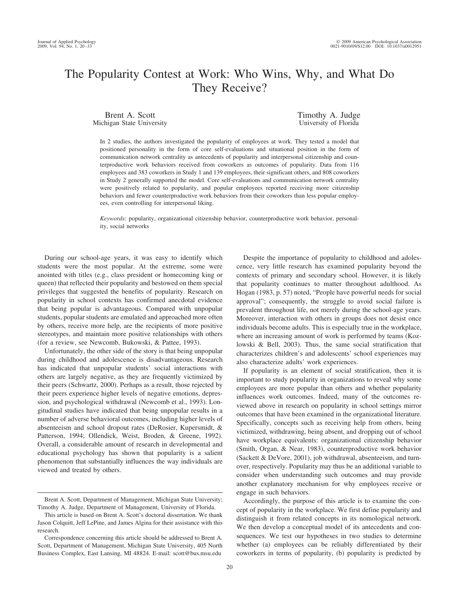# The Popularity Contest at Work: Who Wins, Why, and What Do They Receive?

Brent A. Scott Michigan State University Timothy A. Judge University of Florida

In 2 studies, the authors investigated the popularity of employees at work. They tested a model that positioned personality in the form of core self-evaluations and situational position in the form of communication network centrality as antecedents of popularity and interpersonal citizenship and counterproductive work behaviors received from coworkers as outcomes of popularity. Data from 116 employees and 383 coworkers in Study 1 and 139 employees, their significant others, and 808 coworkers in Study 2 generally supported the model. Core self-evaluations and communication network centrality were positively related to popularity, and popular employees reported receiving more citizenship behaviors and fewer counterproductive work behaviors from their coworkers than less popular employees, even controlling for interpersonal liking.

*Keywords:* popularity, organizational citizenship behavior, counterproductive work behavior, personality, social networks

During our school-age years, it was easy to identify which students were the most popular. At the extreme, some were anointed with titles (e.g., class president or homecoming king or queen) that reflected their popularity and bestowed on them special privileges that suggested the benefits of popularity. Research on popularity in school contexts has confirmed anecdotal evidence that being popular is advantageous. Compared with unpopular students, popular students are emulated and approached more often by others, receive more help, are the recipients of more positive stereotypes, and maintain more positive relationships with others (for a review, see Newcomb, Bukowski, & Pattee, 1993).

Unfortunately, the other side of the story is that being unpopular during childhood and adolescence is disadvantageous. Research has indicated that unpopular students' social interactions with others are largely negative, as they are frequently victimized by their peers (Schwartz, 2000). Perhaps as a result, those rejected by their peers experience higher levels of negative emotions, depression, and psychological withdrawal (Newcomb et al., 1993). Longitudinal studies have indicated that being unpopular results in a number of adverse behavioral outcomes, including higher levels of absenteeism and school dropout rates (DeRosier, Kupersmidt, & Patterson, 1994; Ollendick, Weist, Broden, & Greene, 1992). Overall, a considerable amount of research in developmental and educational psychology has shown that popularity is a salient phenomenon that substantially influences the way individuals are viewed and treated by others.

Despite the importance of popularity to childhood and adolescence, very little research has examined popularity beyond the contexts of primary and secondary school. However, it is likely that popularity continues to matter throughout adulthood. As Hogan (1983, p. 57) noted, "People have powerful needs for social approval"; consequently, the struggle to avoid social failure is prevalent throughout life, not merely during the school-age years. Moreover, interaction with others in groups does not desist once individuals become adults. This is especially true in the workplace, where an increasing amount of work is performed by teams (Kozlowski & Bell, 2003). Thus, the same social stratification that characterizes children's and adolescents' school experiences may also characterize adults' work experiences.

If popularity is an element of social stratification, then it is important to study popularity in organizations to reveal why some employees are more popular than others and whether popularity influences work outcomes. Indeed, many of the outcomes reviewed above in research on popularity in school settings mirror outcomes that have been examined in the organizational literature. Specifically, concepts such as receiving help from others, being victimized, withdrawing, being absent, and dropping out of school have workplace equivalents: organizational citizenship behavior (Smith, Organ, & Near, 1983), counterproductive work behavior (Sackett & DeVore, 2001), job withdrawal, absenteeism, and turnover, respectively. Popularity may thus be an additional variable to consider when understanding such outcomes and may provide another explanatory mechanism for why employees receive or engage in such behaviors.

Accordingly, the purpose of this article is to examine the concept of popularity in the workplace. We first define popularity and distinguish it from related concepts in its nomological network. We then develop a conceptual model of its antecedents and consequences. We test our hypotheses in two studies to determine whether (a) employees can be reliably differentiated by their coworkers in terms of popularity, (b) popularity is predicted by

Brent A. Scott, Department of Management, Michigan State University; Timothy A. Judge, Department of Management, University of Florida.

This article is based on Brent A. Scott's doctoral dissertation. We thank Jason Colquitt, Jeff LePine, and James Algina for their assistance with this research.

Correspondence concerning this article should be addressed to Brent A. Scott, Department of Management, Michigan State University, 405 North Business Complex, East Lansing, MI 48824. E-mail: scott@bus.msu.edu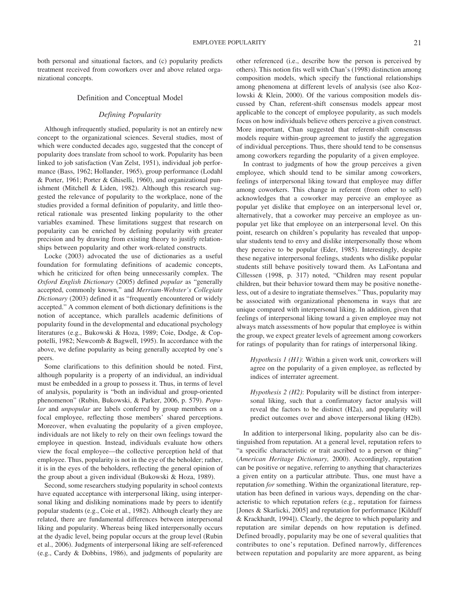both personal and situational factors, and (c) popularity predicts treatment received from coworkers over and above related organizational concepts.

## Definition and Conceptual Model

# *Defining Popularity*

Although infrequently studied, popularity is not an entirely new concept to the organizational sciences. Several studies, most of which were conducted decades ago, suggested that the concept of popularity does translate from school to work. Popularity has been linked to job satisfaction (Van Zelst, 1951), individual job performance (Bass, 1962; Hollander, 1965), group performance (Lodahl & Porter, 1961; Porter & Ghiselli, 1960), and organizational punishment (Mitchell & Liden, 1982). Although this research suggested the relevance of popularity to the workplace, none of the studies provided a formal definition of popularity, and little theoretical rationale was presented linking popularity to the other variables examined. These limitations suggest that research on popularity can be enriched by defining popularity with greater precision and by drawing from existing theory to justify relationships between popularity and other work-related constructs.

Locke (2003) advocated the use of dictionaries as a useful foundation for formulating definitions of academic concepts, which he criticized for often being unnecessarily complex. The *Oxford English Dictionary* (2005) defined *popular* as "generally accepted, commonly known," and *Merriam-Webster's Collegiate Dictionary* (2003) defined it as "frequently encountered or widely accepted." A common element of both dictionary definitions is the notion of acceptance, which parallels academic definitions of popularity found in the developmental and educational psychology literatures (e.g., Bukowski & Hoza, 1989; Coie, Dodge, & Coppotelli, 1982; Newcomb & Bagwell, 1995). In accordance with the above, we define popularity as being generally accepted by one's peers.

Some clarifications to this definition should be noted. First, although popularity is a property of an individual, an individual must be embedded in a group to possess it. Thus, in terms of level of analysis, popularity is "both an individual and group-oriented phenomenon" (Rubin, Bukowski, & Parker, 2006, p. 579). *Popular* and *unpopular* are labels conferred by group members on a focal employee, reflecting those members' shared perceptions. Moreover, when evaluating the popularity of a given employee, individuals are not likely to rely on their own feelings toward the employee in question. Instead, individuals evaluate how others view the focal employee—the collective perception held of that employee. Thus, popularity is not in the eye of the beholder; rather, it is in the eyes of the beholders, reflecting the general opinion of the group about a given individual (Bukowski & Hoza, 1989).

Second, some researchers studying popularity in school contexts have equated acceptance with interpersonal liking, using interpersonal liking and disliking nominations made by peers to identify popular students (e.g., Coie et al., 1982). Although clearly they are related, there are fundamental differences between interpersonal liking and popularity. Whereas being liked interpersonally occurs at the dyadic level, being popular occurs at the group level (Rubin et al., 2006). Judgments of interpersonal liking are self-referenced (e.g., Cardy & Dobbins, 1986), and judgments of popularity are other referenced (i.e., describe how the person is perceived by others). This notion fits well with Chan's (1998) distinction among composition models, which specify the functional relationships among phenomena at different levels of analysis (see also Kozlowski & Klein, 2000). Of the various composition models discussed by Chan, referent-shift consensus models appear most applicable to the concept of employee popularity, as such models focus on how individuals believe others perceive a given construct. More important, Chan suggested that referent-shift consensus models require within-group agreement to justify the aggregation of individual perceptions. Thus, there should tend to be consensus among coworkers regarding the popularity of a given employee.

In contrast to judgments of how the group perceives a given employee, which should tend to be similar among coworkers, feelings of interpersonal liking toward that employee may differ among coworkers. This change in referent (from other to self) acknowledges that a coworker may perceive an employee as popular yet dislike that employee on an interpersonal level or, alternatively, that a coworker may perceive an employee as unpopular yet like that employee on an interpersonal level. On this point, research on children's popularity has revealed that unpopular students tend to envy and dislike interpersonally those whom they perceive to be popular (Eder, 1985). Interestingly, despite these negative interpersonal feelings, students who dislike popular students still behave positively toward them. As LaFontana and Cillessen (1998, p. 317) noted, "Children may resent popular children, but their behavior toward them may be positive nonetheless, out of a desire to ingratiate themselves." Thus, popularity may be associated with organizational phenomena in ways that are unique compared with interpersonal liking. In addition, given that feelings of interpersonal liking toward a given employee may not always match assessments of how popular that employee is within the group, we expect greater levels of agreement among coworkers for ratings of popularity than for ratings of interpersonal liking.

*Hypothesis 1 (H1)*: Within a given work unit, coworkers will agree on the popularity of a given employee, as reflected by indices of interrater agreement.

*Hypothesis 2 (H2)*: Popularity will be distinct from interpersonal liking, such that a confirmatory factor analysis will reveal the factors to be distinct (H2a), and popularity will predict outcomes over and above interpersonal liking (H2b).

In addition to interpersonal liking, popularity also can be distinguished from reputation. At a general level, reputation refers to "a specific characteristic or trait ascribed to a person or thing" (*American Heritage Dictionary,* 2000). Accordingly, reputation can be positive or negative, referring to anything that characterizes a given entity on a particular attribute. Thus, one must have a reputation *for* something. Within the organizational literature, reputation has been defined in various ways, depending on the characteristic to which reputation refers (e.g., reputation for fairness [Jones & Skarlicki, 2005] and reputation for performance [Kilduff & Krackhardt, 1994]). Clearly, the degree to which popularity and reputation are similar depends on how reputation is defined. Defined broadly, popularity may be one of several qualities that contributes to one's reputation. Defined narrowly, differences between reputation and popularity are more apparent, as being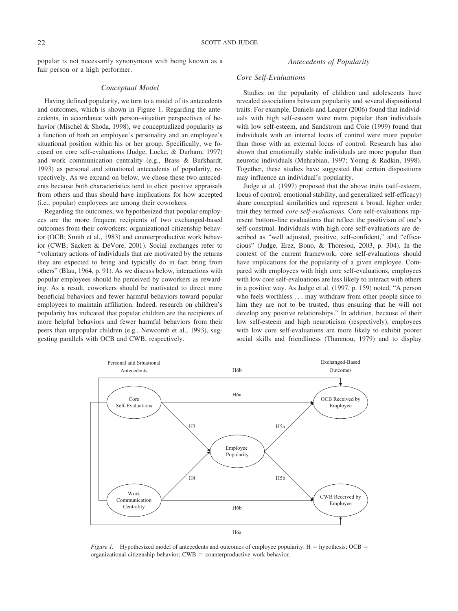popular is not necessarily synonymous with being known as a fair person or a high performer.

#### *Conceptual Model*

Having defined popularity, we turn to a model of its antecedents and outcomes, which is shown in Figure 1. Regarding the antecedents, in accordance with person–situation perspectives of behavior (Mischel & Shoda, 1998), we conceptualized popularity as a function of both an employee's personality and an employee's situational position within his or her group. Specifically, we focused on core self-evaluations (Judge, Locke, & Durham, 1997) and work communication centrality (e.g., Brass & Burkhardt, 1993) as personal and situational antecedents of popularity, respectively. As we expand on below, we chose these two antecedents because both characteristics tend to elicit positive appraisals from others and thus should have implications for how accepted (i.e., popular) employees are among their coworkers.

Regarding the outcomes, we hypothesized that popular employees are the more frequent recipients of two exchanged-based outcomes from their coworkers: organizational citizenship behavior (OCB; Smith et al., 1983) and counterproductive work behavior (CWB; Sackett & DeVore, 2001). Social exchanges refer to "voluntary actions of individuals that are motivated by the returns they are expected to bring and typically do in fact bring from others" (Blau, 1964, p. 91). As we discuss below, interactions with popular employees should be perceived by coworkers as rewarding. As a result, coworkers should be motivated to direct more beneficial behaviors and fewer harmful behaviors toward popular employees to maintain affiliation. Indeed, research on children's popularity has indicated that popular children are the recipients of more helpful behaviors and fewer harmful behaviors from their peers than unpopular children (e.g., Newcomb et al., 1993), suggesting parallels with OCB and CWB, respectively.

#### *Antecedents of Popularity*

## *Core Self-Evaluations*

Studies on the popularity of children and adolescents have revealed associations between popularity and several dispositional traits. For example, Daniels and Leaper (2006) found that individuals with high self-esteem were more popular than individuals with low self-esteem, and Sandstrom and Coie (1999) found that individuals with an internal locus of control were more popular than those with an external locus of control. Research has also shown that emotionally stable individuals are more popular than neurotic individuals (Mehrabian, 1997; Young & Radkin, 1998). Together, these studies have suggested that certain dispositions may influence an individual's popularity.

Judge et al. (1997) proposed that the above traits (self-esteem, locus of control, emotional stability, and generalized self-efficacy) share conceptual similarities and represent a broad, higher order trait they termed *core self-evaluations.* Core self-evaluations represent bottom-line evaluations that reflect the positivism of one's self-construal. Individuals with high core self-evaluations are described as "well adjusted, positive, self-confident," and "efficacious" (Judge, Erez, Bono, & Thoreson, 2003, p. 304). In the context of the current framework, core self-evaluations should have implications for the popularity of a given employee. Compared with employees with high core self-evaluations, employees with low core self-evaluations are less likely to interact with others in a positive way. As Judge et al. (1997, p. 159) noted, "A person who feels worthless . . . may withdraw from other people since to him they are not to be trusted, thus ensuring that he will not develop any positive relationships." In addition, because of their low self-esteem and high neuroticism (respectively), employees with low core self-evaluations are more likely to exhibit poorer social skills and friendliness (Tharenou, 1979) and to display



*Figure 1.* Hypothesized model of antecedents and outcomes of employee popularity. H = hypothesis; OCB = organizational citizenship behavior;  $CWB =$  counterproductive work behavior.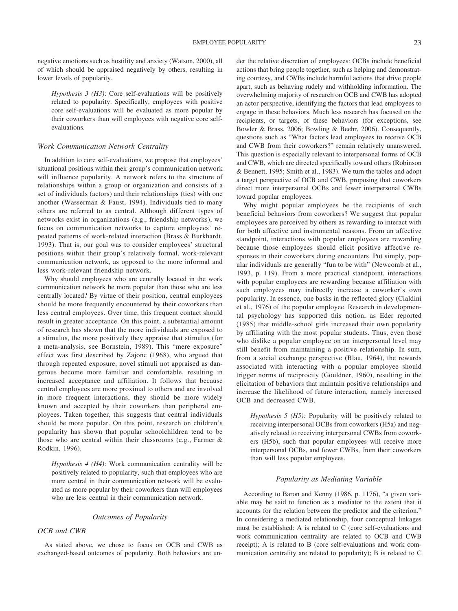negative emotions such as hostility and anxiety (Watson, 2000), all of which should be appraised negatively by others, resulting in lower levels of popularity.

*Hypothesis 3 (H3)*: Core self-evaluations will be positively related to popularity. Specifically, employees with positive core self-evaluations will be evaluated as more popular by their coworkers than will employees with negative core selfevaluations.

#### *Work Communication Network Centrality*

In addition to core self-evaluations, we propose that employees' situational positions within their group's communication network will influence popularity. A network refers to the structure of relationships within a group or organization and consists of a set of individuals (actors) and their relationships (ties) with one another (Wasserman & Faust, 1994). Individuals tied to many others are referred to as central. Although different types of networks exist in organizations (e.g., friendship networks), we focus on communication networks to capture employees' repeated patterns of work-related interaction (Brass & Burkhardt, 1993). That is, our goal was to consider employees' structural positions within their group's relatively formal, work-relevant communication network, as opposed to the more informal and less work-relevant friendship network.

Why should employees who are centrally located in the work communication network be more popular than those who are less centrally located? By virtue of their position, central employees should be more frequently encountered by their coworkers than less central employees. Over time, this frequent contact should result in greater acceptance. On this point, a substantial amount of research has shown that the more individuals are exposed to a stimulus, the more positively they appraise that stimulus (for a meta-analysis, see Bornstein, 1989). This "mere exposure" effect was first described by Zajonc (1968), who argued that through repeated exposure, novel stimuli not appraised as dangerous become more familiar and comfortable, resulting in increased acceptance and affiliation. It follows that because central employees are more proximal to others and are involved in more frequent interactions, they should be more widely known and accepted by their coworkers than peripheral employees. Taken together, this suggests that central individuals should be more popular. On this point, research on children's popularity has shown that popular schoolchildren tend to be those who are central within their classrooms (e.g., Farmer & Rodkin, 1996).

*Hypothesis 4 (H4)*: Work communication centrality will be positively related to popularity, such that employees who are more central in their communication network will be evaluated as more popular by their coworkers than will employees who are less central in their communication network.

## *Outcomes of Popularity*

## *OCB and CWB*

As stated above, we chose to focus on OCB and CWB as exchanged-based outcomes of popularity. Both behaviors are under the relative discretion of employees: OCBs include beneficial actions that bring people together, such as helping and demonstrating courtesy, and CWBs include harmful actions that drive people apart, such as behaving rudely and withholding information. The overwhelming majority of research on OCB and CWB has adopted an actor perspective, identifying the factors that lead employees to engage in these behaviors. Much less research has focused on the recipients, or targets, of these behaviors (for exceptions, see Bowler & Brass, 2006; Bowling & Beehr, 2006). Consequently, questions such as "What factors lead employees to receive OCB and CWB from their coworkers?" remain relatively unanswered. This question is especially relevant to interpersonal forms of OCB and CWB, which are directed specifically toward others (Robinson & Bennett, 1995; Smith et al., 1983). We turn the tables and adopt a target perspective of OCB and CWB, proposing that coworkers direct more interpersonal OCBs and fewer interpersonal CWBs toward popular employees.

Why might popular employees be the recipients of such beneficial behaviors from coworkers? We suggest that popular employees are perceived by others as rewarding to interact with for both affective and instrumental reasons. From an affective standpoint, interactions with popular employees are rewarding because those employees should elicit positive affective responses in their coworkers during encounters. Put simply, popular individuals are generally "fun to be with" (Newcomb et al., 1993, p. 119). From a more practical standpoint, interactions with popular employees are rewarding because affiliation with such employees may indirectly increase a coworker's own popularity. In essence, one basks in the reflected glory (Cialdini et al., 1976) of the popular employee. Research in developmental psychology has supported this notion, as Eder reported (1985) that middle-school girls increased their own popularity by affiliating with the most popular students. Thus, even those who dislike a popular employee on an interpersonal level may still benefit from maintaining a positive relationship. In sum, from a social exchange perspective (Blau, 1964), the rewards associated with interacting with a popular employee should trigger norms of reciprocity (Gouldner, 1960), resulting in the elicitation of behaviors that maintain positive relationships and increase the likelihood of future interaction, namely increased OCB and decreased CWB.

*Hypothesis 5 (H5):* Popularity will be positively related to receiving interpersonal OCBs from coworkers (H5a) and negatively related to receiving interpersonal CWBs from coworkers (H5b), such that popular employees will receive more interpersonal OCBs, and fewer CWBs, from their coworkers than will less popular employees.

## *Popularity as Mediating Variable*

According to Baron and Kenny (1986, p. 1176), "a given variable may be said to function as a mediator to the extent that it accounts for the relation between the predictor and the criterion." In considering a mediated relationship, four conceptual linkages must be established: A is related to C (core self-evaluations and work communication centrality are related to OCB and CWB receipt); A is related to B (core self-evaluations and work communication centrality are related to popularity); B is related to C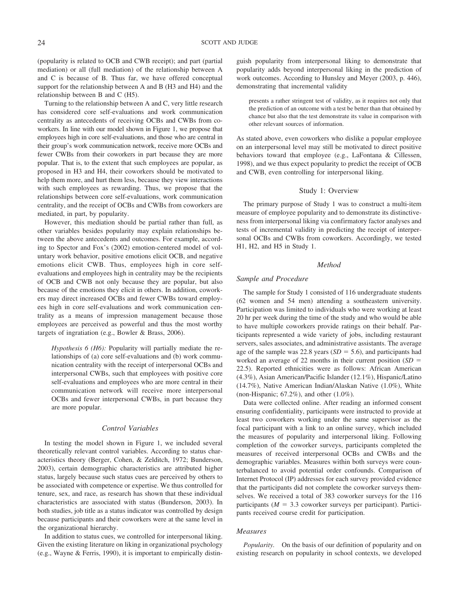(popularity is related to OCB and CWB receipt); and part (partial mediation) or all (full mediation) of the relationship between A and C is because of B. Thus far, we have offered conceptual support for the relationship between A and B (H3 and H4) and the relationship between B and C (H5).

Turning to the relationship between A and C, very little research has considered core self-evaluations and work communication centrality as antecedents of receiving OCBs and CWBs from coworkers. In line with our model shown in Figure 1, we propose that employees high in core self-evaluations, and those who are central in their group's work communication network, receive more OCBs and fewer CWBs from their coworkers in part because they are more popular. That is, to the extent that such employees are popular, as proposed in H3 and H4, their coworkers should be motivated to help them more, and hurt them less, because they view interactions with such employees as rewarding. Thus, we propose that the relationships between core self-evaluations, work communication centrality, and the receipt of OCBs and CWBs from coworkers are mediated, in part, by popularity.

However, this mediation should be partial rather than full, as other variables besides popularity may explain relationships between the above antecedents and outcomes. For example, according to Spector and Fox's (2002) emotion-centered model of voluntary work behavior, positive emotions elicit OCB, and negative emotions elicit CWB. Thus, employees high in core selfevaluations and employees high in centrality may be the recipients of OCB and CWB not only because they are popular, but also because of the emotions they elicit in others. In addition, coworkers may direct increased OCBs and fewer CWBs toward employees high in core self-evaluations and work communication centrality as a means of impression management because those employees are perceived as powerful and thus the most worthy targets of ingratiation (e.g., Bowler & Brass, 2006).

*Hypothesis 6 (H6):* Popularity will partially mediate the relationships of (a) core self-evaluations and (b) work communication centrality with the receipt of interpersonal OCBs and interpersonal CWBs, such that employees with positive core self-evaluations and employees who are more central in their communication network will receive more interpersonal OCBs and fewer interpersonal CWBs, in part because they are more popular.

## *Control Variables*

In testing the model shown in Figure 1, we included several theoretically relevant control variables. According to status characteristics theory (Berger, Cohen, & Zelditch, 1972; Bunderson, 2003), certain demographic characteristics are attributed higher status, largely because such status cues are perceived by others to be associated with competence or expertise. We thus controlled for tenure, sex, and race, as research has shown that these individual characteristics are associated with status (Bunderson, 2003). In both studies, job title as a status indicator was controlled by design because participants and their coworkers were at the same level in the organizational hierarchy.

In addition to status cues, we controlled for interpersonal liking. Given the existing literature on liking in organizational psychology (e.g., Wayne & Ferris, 1990), it is important to empirically distinguish popularity from interpersonal liking to demonstrate that popularity adds beyond interpersonal liking in the prediction of work outcomes. According to Hunsley and Meyer (2003, p. 446), demonstrating that incremental validity

presents a rather stringent test of validity, as it requires not only that the prediction of an outcome with a test be better than that obtained by chance but also that the test demonstrate its value in comparison with other relevant sources of information.

As stated above, even coworkers who dislike a popular employee on an interpersonal level may still be motivated to direct positive behaviors toward that employee (e.g., LaFontana & Cillessen, 1998), and we thus expect popularity to predict the receipt of OCB and CWB, even controlling for interpersonal liking.

## Study 1: Overview

The primary purpose of Study 1 was to construct a multi-item measure of employee popularity and to demonstrate its distinctiveness from interpersonal liking via confirmatory factor analyses and tests of incremental validity in predicting the receipt of interpersonal OCBs and CWBs from coworkers. Accordingly, we tested H1, H2, and H5 in Study 1.

#### *Method*

## *Sample and Procedure*

The sample for Study 1 consisted of 116 undergraduate students (62 women and 54 men) attending a southeastern university. Participation was limited to individuals who were working at least 20 hr per week during the time of the study and who would be able to have multiple coworkers provide ratings on their behalf. Participants represented a wide variety of jobs, including restaurant servers, sales associates, and administrative assistants. The average age of the sample was 22.8 years  $(SD = 5.6)$ , and participants had worked an average of 22 months in their current position (*SD* 22.5). Reported ethnicities were as follows: African American (4.3%), Asian American/Pacific Islander (12.1%), Hispanic/Latino (14.7%), Native American Indian/Alaskan Native (1.0%), White (non-Hispanic; 67.2%), and other (1.0%).

Data were collected online. After reading an informed consent ensuring confidentiality, participants were instructed to provide at least two coworkers working under the same supervisor as the focal participant with a link to an online survey, which included the measures of popularity and interpersonal liking. Following completion of the coworker surveys, participants completed the measures of received interpersonal OCBs and CWBs and the demographic variables. Measures within both surveys were counterbalanced to avoid potential order confounds. Comparison of Internet Protocol (IP) addresses for each survey provided evidence that the participants did not complete the coworker surveys themselves. We received a total of 383 coworker surveys for the 116 participants ( $M = 3.3$  coworker surveys per participant). Participants received course credit for participation.

#### *Measures*

*Popularity.* On the basis of our definition of popularity and on existing research on popularity in school contexts, we developed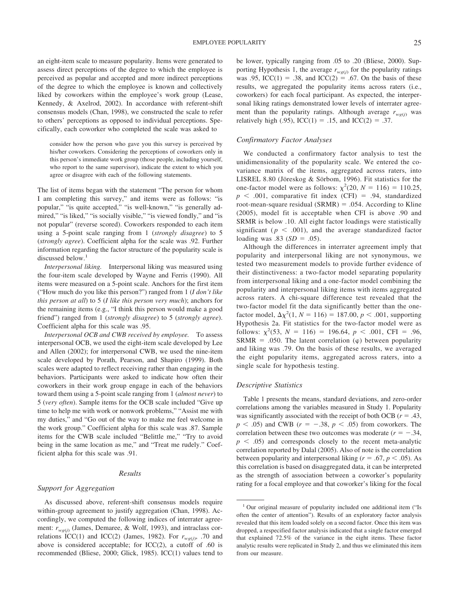an eight-item scale to measure popularity. Items were generated to assess direct perceptions of the degree to which the employee is perceived as popular and accepted and more indirect perceptions of the degree to which the employee is known and collectively liked by coworkers within the employee's work group (Lease, Kennedy, & Axelrod, 2002). In accordance with referent-shift consensus models (Chan, 1998), we constructed the scale to refer to others' perceptions as opposed to individual perceptions. Specifically, each coworker who completed the scale was asked to

consider how the person who gave you this survey is perceived by his/her coworkers. Considering the perceptions of coworkers only in this person's immediate work group (those people, including yourself, who report to the same supervisor), indicate the extent to which you agree or disagree with each of the following statements.

The list of items began with the statement "The person for whom I am completing this survey," and items were as follows: "is popular," "is quite accepted," "is well-known," "is generally admired," "is liked," "is socially visible," "is viewed fondly," and "is not popular" (reverse scored). Coworkers responded to each item using a 5-point scale ranging from 1 (*strongly disagree*) to 5 (*strongly agree*). Coefficient alpha for the scale was .92. Further information regarding the factor structure of the popularity scale is discussed below.<sup>1</sup>

*Interpersonal liking.* Interpersonal liking was measured using the four-item scale developed by Wayne and Ferris (1990). All items were measured on a 5-point scale. Anchors for the first item ("How much do you like this person?") ranged from 1 (*I don't like this person at all*) to 5 (*I like this person very much*); anchors for the remaining items (e.g., "I think this person would make a good friend") ranged from 1 (*strongly disagree*) to 5 (*strongly agree*). Coefficient alpha for this scale was .95.

*Interpersonal OCB and CWB received by employee.* To assess interpersonal OCB, we used the eight-item scale developed by Lee and Allen (2002); for interpersonal CWB, we used the nine-item scale developed by Porath, Pearson, and Shapiro (1999). Both scales were adapted to reflect receiving rather than engaging in the behaviors. Participants were asked to indicate how often their coworkers in their work group engage in each of the behaviors toward them using a 5-point scale ranging from 1 (*almost never*) to 5 (*very often*). Sample items for the OCB scale included "Give up time to help me with work or nonwork problems," "Assist me with my duties," and "Go out of the way to make me feel welcome in the work group." Coefficient alpha for this scale was .87. Sample items for the CWB scale included "Belittle me," "Try to avoid being in the same location as me," and "Treat me rudely." Coefficient alpha for this scale was .91.

#### *Results*

#### *Support for Aggregation*

As discussed above, referent-shift consensus models require within-group agreement to justify aggregation (Chan, 1998). Accordingly, we computed the following indices of interrater agreement:  $r_{we(i)}$  (James, Demaree, & Wolf, 1993), and intraclass correlations ICC(1) and ICC(2) (James, 1982). For  $r_{wg(j)}$ , .70 and above is considered acceptable; for ICC(2), a cutoff of .60 is recommended (Bliese, 2000; Glick, 1985). ICC(1) values tend to be lower, typically ranging from .05 to .20 (Bliese, 2000). Supporting Hypothesis 1, the average  $r_{wg(j)}$  for the popularity ratings was .95, ICC(1) = .38, and ICC(2) = .67. On the basis of these results, we aggregated the popularity items across raters (i.e., coworkers) for each focal participant. As expected, the interpersonal liking ratings demonstrated lower levels of interrater agreement than the popularity ratings. Although average  $r_{wg(j)}$  was relatively high (.95),  $ICC(1) = .15$ , and  $ICC(2) = .37$ .

### *Confirmatory Factor Analyses*

We conducted a confirmatory factor analysis to test the unidimensionality of the popularity scale. We entered the covariance matrix of the items, aggregated across raters, into LISREL 8.80 (Jöreskog & Sörbom, 1996). Fit statistics for the one-factor model were as follows:  $\chi^2(20, N = 116) = 110.25$ ,  $p \leq .001$ , comparative fit index (CFI) = .94, standardized root-mean-square residual  $(SRMR) = .054$ . According to Kline (2005), model fit is acceptable when CFI is above .90 and SRMR is below .10. All eight factor loadings were statistically significant ( $p < .001$ ), and the average standardized factor loading was .83  $(SD = .05)$ .

Although the differences in interrater agreement imply that popularity and interpersonal liking are not synonymous, we tested two measurement models to provide further evidence of their distinctiveness: a two-factor model separating popularity from interpersonal liking and a one-factor model combining the popularity and interpersonal liking items with items aggregated across raters. A chi-square difference test revealed that the two-factor model fit the data significantly better than the onefactor model,  $\Delta \chi^2(1, N = 116) = 187.00, p < .001$ , supporting Hypothesis 2a. Fit statistics for the two-factor model were as follows:  $\chi^2$ (53, *N* = 116) = 196.64, *p* < .001, CFI = .96, SRMR = .050. The latent correlation  $(\varphi)$  between popularity and liking was .79. On the basis of these results, we averaged the eight popularity items, aggregated across raters, into a single scale for hypothesis testing.

## *Descriptive Statistics*

Table 1 presents the means, standard deviations, and zero-order correlations among the variables measured in Study 1. Popularity was significantly associated with the receipt of both OCB ( $r = .43$ ,  $p$  < .05) and CWB ( $r = -.38$ ,  $p$  < .05) from coworkers. The correlation between these two outcomes was moderate  $(r = -.34, ...)$  $p \leq .05$ ) and corresponds closely to the recent meta-analytic correlation reported by Dalal (2005). Also of note is the correlation between popularity and interpersonal liking ( $r = .67$ ,  $p < .05$ ). As this correlation is based on disaggregated data, it can be interpreted as the strength of association between a coworker's popularity rating for a focal employee and that coworker's liking for the focal

<sup>&</sup>lt;sup>1</sup> Our original measure of popularity included one additional item ("Is often the center of attention"). Results of an exploratory factor analysis revealed that this item loaded solely on a second factor. Once this item was dropped, a respecified factor analysis indicated that a single factor emerged that explained 72.5% of the variance in the eight items. These factor analytic results were replicated in Study 2, and thus we eliminated this item from our measure.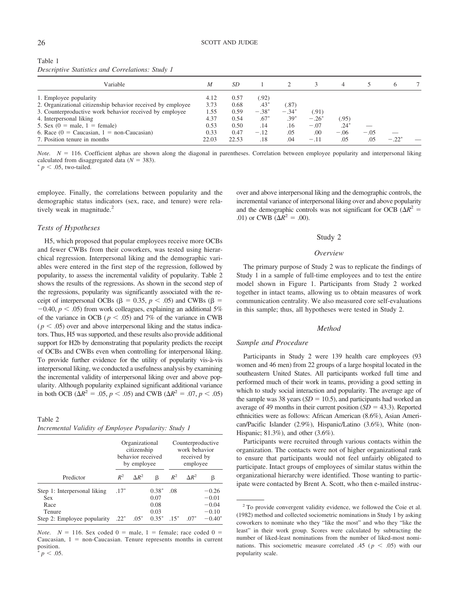| Descriptive Shanshes and Correlations. Shah y 1             |       |       |         |                |          |        |        |                |  |
|-------------------------------------------------------------|-------|-------|---------|----------------|----------|--------|--------|----------------|--|
| Variable                                                    | M     | SD    |         |                |          | 4      |        | 6              |  |
| 1. Employee popularity                                      | 4.12  | 0.57  | (.92)   |                |          |        |        |                |  |
| 2. Organizational citizenship behavior received by employee | 3.73  | 0.68  | $.43*$  | (.87)          |          |        |        |                |  |
| 3. Counterproductive work behavior received by employee     | 1.55  | 0.59  | $-.38*$ | $-.34^{\circ}$ | (.91)    |        |        |                |  |
| 4. Interpersonal liking                                     | 4.37  | 0.54  | $.67*$  | $.39*$         | $-.26^*$ | (.95)  |        |                |  |
| 5. Sex $(0 = \text{male}, 1 = \text{female})$               | 0.53  | 0.50  | .14     | .16            | $-.07$   | $.24*$ |        |                |  |
| 6. Race ( $0 =$ Caucasian, $1 =$ non-Caucasian)             | 0.33  | 0.47  | $-.12$  | .05            | .00      | $-.06$ | $-.05$ |                |  |
| 7. Position tenure in months                                | 22.03 | 22.53 | .18     | .04            | $-.11$   | .05    | .05    | $-.22^{\circ}$ |  |

Table 1 *Descriptive Statistics and Correlations: Study 1*

*Note.*  $N = 116$ . Coefficient alphas are shown along the diagonal in parentheses. Correlation between employee popularity and interpersonal liking calculated from disaggregated data ( $N = 383$ ).  $p < .05$ , two-tailed.

employee. Finally, the correlations between popularity and the demographic status indicators (sex, race, and tenure) were relatively weak in magnitude.<sup>2</sup>

## *Tests of Hypotheses*

H5, which proposed that popular employees receive more OCBs and fewer CWBs from their coworkers, was tested using hierarchical regression. Interpersonal liking and the demographic variables were entered in the first step of the regression, followed by popularity, to assess the incremental validity of popularity. Table 2 shows the results of the regressions. As shown in the second step of the regressions, popularity was significantly associated with the receipt of interpersonal OCBs ( $\beta$  = 0.35,  $p < .05$ ) and CWBs ( $\beta$  =  $-0.40$ ,  $p < .05$ ) from work colleagues, explaining an additional 5% of the variance in OCB ( $p < .05$ ) and 7% of the variance in CWB  $(p < .05)$  over and above interpersonal liking and the status indicators. Thus, H5 was supported, and these results also provide additional support for H2b by demonstrating that popularity predicts the receipt of OCBs and CWBs even when controlling for interpersonal liking. To provide further evidence for the utility of popularity vis-à-vis interpersonal liking, we conducted a usefulness analysis by examining the incremental validity of interpersonal liking over and above popularity. Although popularity explained significant additional variance in both OCB ( $\Delta R^2 = .05$ ,  $p < .05$ ) and CWB ( $\Delta R^2 = .07$ ,  $p < .05$ )

#### Table 2 *Incremental Validity of Employee Popularity: Study 1*

|                                                                                      |                  | Organizational<br>citizenship<br>behavior received<br>by employee |                                            | Counterproductive<br>work behavior<br>received by<br>employee |              |                                                      |  |  |
|--------------------------------------------------------------------------------------|------------------|-------------------------------------------------------------------|--------------------------------------------|---------------------------------------------------------------|--------------|------------------------------------------------------|--|--|
| Predictor                                                                            | $R^2$            | $\Lambda R^2$                                                     | β                                          | $R^2$                                                         | $\Delta R^2$ | β                                                    |  |  |
| Step 1: Interpersonal liking<br>Sex<br>Race<br>Tenure<br>Step 2: Employee popularity | $.17*$<br>$.22*$ | $.05*$                                                            | $0.38*$<br>0.07<br>0.08<br>0.03<br>$0.35*$ | .08<br>$.15*$                                                 | $.07*$       | $-0.26$<br>$-0.01$<br>$-0.04$<br>$-0.10$<br>$-0.40*$ |  |  |

*Note.*  $N = 116$ . Sex coded  $0 =$  male,  $1 =$  female; race coded  $0 =$ Caucasian,  $1 =$  non-Caucasian. Tenure represents months in current position.  $p < .05$ .

over and above interpersonal liking and the demographic controls, the incremental variance of interpersonal liking over and above popularity and the demographic controls was not significant for OCB ( $\Delta R^2$  = .01) or CWB ( $\Delta R^2 = .00$ ).

## Study 2

#### *Overview*

The primary purpose of Study 2 was to replicate the findings of Study 1 in a sample of full-time employees and to test the entire model shown in Figure 1. Participants from Study 2 worked together in intact teams, allowing us to obtain measures of work communication centrality. We also measured core self-evaluations in this sample; thus, all hypotheses were tested in Study 2.

### *Method*

## *Sample and Procedure*

Participants in Study 2 were 139 health care employees (93 women and 46 men) from 22 groups of a large hospital located in the southeastern United States. All participants worked full time and performed much of their work in teams, providing a good setting in which to study social interaction and popularity. The average age of the sample was 38 years  $(SD = 10.5)$ , and participants had worked an average of 49 months in their current position  $(SD = 43.3)$ . Reported ethnicities were as follows: African American (8.6%), Asian American/Pacific Islander (2.9%), Hispanic/Latino (3.6%), White (non-Hispanic; 81.3%), and other (3.6%).

Participants were recruited through various contacts within the organization. The contacts were not of higher organizational rank to ensure that participants would not feel unfairly obligated to participate. Intact groups of employees of similar status within the organizational hierarchy were identified. Those wanting to participate were contacted by Brent A. Scott, who then e-mailed instruc-

<sup>&</sup>lt;sup>2</sup> To provide convergent validity evidence, we followed the Coie et al. (1982) method and collected sociometric nominations in Study 1 by asking coworkers to nominate who they "like the most" and who they "like the least" in their work group. Scores were calculated by subtracting the number of liked-least nominations from the number of liked-most nominations. This sociometric measure correlated .45 ( $p \leq .05$ ) with our popularity scale.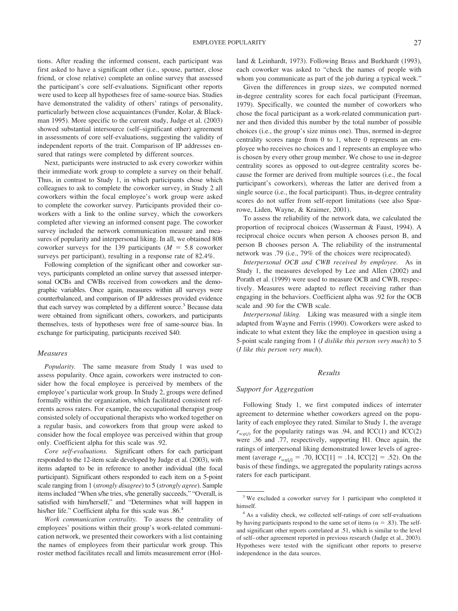tions. After reading the informed consent, each participant was first asked to have a significant other (i.e., spouse, partner, close friend, or close relative) complete an online survey that assessed the participant's core self-evaluations. Significant other reports were used to keep all hypotheses free of same-source bias. Studies have demonstrated the validity of others' ratings of personality, particularly between close acquaintances (Funder, Kolar, & Blackman 1995). More specific to the current study, Judge et al. (2003) showed substantial intersource (self–significant other) agreement in assessments of core self-evaluations, suggesting the validity of independent reports of the trait. Comparison of IP addresses ensured that ratings were completed by different sources.

Next, participants were instructed to ask every coworker within their immediate work group to complete a survey on their behalf. Thus, in contrast to Study 1, in which participants chose which colleagues to ask to complete the coworker survey, in Study 2 all coworkers within the focal employee's work group were asked to complete the coworker survey. Participants provided their coworkers with a link to the online survey, which the coworkers completed after viewing an informed consent page. The coworker survey included the network communication measure and measures of popularity and interpersonal liking. In all, we obtained 808 coworker surveys for the 139 participants  $(M = 5.8$  coworker surveys per participant), resulting in a response rate of 82.4%.

Following completion of the significant other and coworker surveys, participants completed an online survey that assessed interpersonal OCBs and CWBs received from coworkers and the demographic variables. Once again, measures within all surveys were counterbalanced, and comparison of IP addresses provided evidence that each survey was completed by a different source.<sup>3</sup> Because data were obtained from significant others, coworkers, and participants themselves, tests of hypotheses were free of same-source bias. In exchange for participating, participants received \$40.

## *Measures*

*Popularity.* The same measure from Study 1 was used to assess popularity. Once again, coworkers were instructed to consider how the focal employee is perceived by members of the employee's particular work group. In Study 2, groups were defined formally within the organization, which facilitated consistent referents across raters. For example, the occupational therapist group consisted solely of occupational therapists who worked together on a regular basis, and coworkers from that group were asked to consider how the focal employee was perceived within that group only. Coefficient alpha for this scale was .92.

*Core self-evaluations.* Significant others for each participant responded to the 12-item scale developed by Judge et al. (2003), with items adapted to be in reference to another individual (the focal participant). Significant others responded to each item on a 5-point scale ranging from 1 (*strongly disagree*) to 5 (*strongly agree*). Sample items included "When s/he tries, s/he generally succeeds," "Overall, is satisfied with him/herself," and "Determines what will happen in his/her life." Coefficient alpha for this scale was .86.<sup>4</sup>

*Work communication centrality.* To assess the centrality of employees' positions within their group's work-related communication network, we presented their coworkers with a list containing the names of employees from their particular work group. This roster method facilitates recall and limits measurement error (Holland & Leinhardt, 1973). Following Brass and Burkhardt (1993), each coworker was asked to "check the names of people with whom you communicate as part of the job during a typical week."

Given the differences in group sizes, we computed normed in-degree centrality scores for each focal participant (Freeman, 1979). Specifically, we counted the number of coworkers who chose the focal participant as a work-related communication partner and then divided this number by the total number of possible choices (i.e., the group's size minus one). Thus, normed in-degree centrality scores range from 0 to 1, where 0 represents an employee who receives no choices and 1 represents an employee who is chosen by every other group member. We chose to use in-degree centrality scores as opposed to out-degree centrality scores because the former are derived from multiple sources (i.e., the focal participant's coworkers), whereas the latter are derived from a single source (i.e., the focal participant). Thus, in-degree centrality scores do not suffer from self-report limitations (see also Sparrowe, Liden, Wayne, & Kraimer, 2001).

To assess the reliability of the network data, we calculated the proportion of reciprocal choices (Wasserman & Faust, 1994). A reciprocal choice occurs when person A chooses person B, and person B chooses person A. The reliability of the instrumental network was .79 (i.e., 79% of the choices were reciprocated).

*Interpersonal OCB and CWB received by employee.* As in Study 1, the measures developed by Lee and Allen (2002) and Porath et al. (1999) were used to measure OCB and CWB, respectively. Measures were adapted to reflect receiving rather than engaging in the behaviors. Coefficient alpha was .92 for the OCB scale and .90 for the CWB scale.

*Interpersonal liking.* Liking was measured with a single item adapted from Wayne and Ferris (1990). Coworkers were asked to indicate to what extent they like the employee in question using a 5-point scale ranging from 1 (*I dislike this person very much*) to 5 (*I like this person very much*).

#### *Results*

## *Support for Aggregation*

Following Study 1, we first computed indices of interrater agreement to determine whether coworkers agreed on the popularity of each employee they rated. Similar to Study 1, the average  $r_{wg(j)}$  for the popularity ratings was .94, and ICC(1) and ICC(2) were .36 and .77, respectively, supporting H1. Once again, the ratings of interpersonal liking demonstrated lower levels of agreement (average  $r_{wg[i]} = .70$ , ICC[1] = .14, ICC[2] = .52). On the basis of these findings, we aggregated the popularity ratings across raters for each participant.

<sup>&</sup>lt;sup>3</sup> We excluded a coworker survey for 1 participant who completed it himself.

<sup>&</sup>lt;sup>4</sup> As a validity check, we collected self-ratings of core self-evaluations by having participants respond to the same set of items ( $\alpha = .83$ ). The selfand significant other reports correlated at .51, which is similar to the level of self– other agreement reported in previous research (Judge et al., 2003). Hypotheses were tested with the significant other reports to preserve independence in the data sources.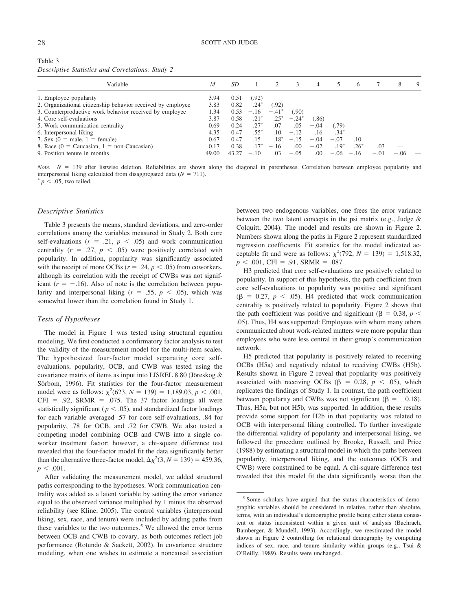| Variable                                                                                                                                                                                                                                                                                                                                                   | M                                                            | SD                                                           |                                                                                   |                                                               | 3                                                               | 4                                          |                                      | 6                  |        | 8      | 9 |
|------------------------------------------------------------------------------------------------------------------------------------------------------------------------------------------------------------------------------------------------------------------------------------------------------------------------------------------------------------|--------------------------------------------------------------|--------------------------------------------------------------|-----------------------------------------------------------------------------------|---------------------------------------------------------------|-----------------------------------------------------------------|--------------------------------------------|--------------------------------------|--------------------|--------|--------|---|
| 1. Employee popularity<br>2. Organizational citizenship behavior received by employee<br>3. Counterproductive work behavior received by employee<br>4. Core self-evaluations<br>5. Work communication centrality<br>6. Interpersonal liking<br>7. Sex $(0 = \text{male}, 1 = \text{female})$<br>8. Race $(0 = \text{Caucasian}, 1 = \text{non-Caucasian})$ | 3.94<br>3.83<br>1.34<br>3.87<br>0.69<br>4.35<br>0.67<br>0.17 | 0.51<br>0.82<br>0.53<br>0.58<br>0.24<br>0.47<br>0.47<br>0.38 | (.92)<br>$.24^{\circ}$<br>$-.16$<br>$.21*$<br>$.27^*$<br>$.55^*$<br>.15<br>$.17*$ | (.92)<br>$-.41^*$<br>$.25*$<br>.07<br>.10<br>$.18*$<br>$-.16$ | (.90)<br>$-.24*$<br>.05<br>$-.12$<br>$-.15$<br>.00 <sub>1</sub> | (.86)<br>$-.04$<br>.16<br>$-.04$<br>$-.02$ | (.79)<br>$.34^*$<br>$-.07$<br>$.19*$ | .10<br>$.26^\circ$ | .03    |        |   |
| 9. Position tenure in months                                                                                                                                                                                                                                                                                                                               | 49.00                                                        | 43.27                                                        | $-.10$                                                                            | .03                                                           | $-.05$                                                          | .00 <sub>1</sub>                           | $-.06$                               | $-.16$             | $-.01$ | $-.06$ |   |

Table 3 *Descriptive Statistics and Correlations: Study 2*

*Note.*  $N = 139$  after listwise deletion. Reliabilities are shown along the diagonal in parentheses. Correlation between employee popularity and interpersonal liking calculated from disaggregated data ( $N = 711$ ).  $p < .05$ , two-tailed.

#### *Descriptive Statistics*

Table 3 presents the means, standard deviations, and zero-order correlations among the variables measured in Study 2. Both core self-evaluations  $(r = .21, p < .05)$  and work communication centrality  $(r = .27, p < .05)$  were positively correlated with popularity. In addition, popularity was significantly associated with the receipt of more OCBs ( $r = .24$ ,  $p < .05$ ) from coworkers, although its correlation with the receipt of CWBs was not significant  $(r = -.16)$ . Also of note is the correlation between popularity and interpersonal liking  $(r = .55, p < .05)$ , which was somewhat lower than the correlation found in Study 1.

### *Tests of Hypotheses*

The model in Figure 1 was tested using structural equation modeling. We first conducted a confirmatory factor analysis to test the validity of the measurement model for the multi-item scales. The hypothesized four-factor model separating core selfevaluations, popularity, OCB, and CWB was tested using the covariance matrix of items as input into LISREL 8.80 (Jöreskog  $\&$ Sörbom, 1996). Fit statistics for the four-factor measurement model were as follows:  $\chi^2(623, N = 139) = 1,189.03, p < .001$ ,  $CFI = .92$ , SRMR = .075. The 37 factor loadings all were statistically significant ( $p < .05$ ), and standardized factor loadings for each variable averaged .57 for core self-evaluations, .84 for popularity, .78 for OCB, and .72 for CWB. We also tested a competing model combining OCB and CWB into a single coworker treatment factor; however, a chi-square difference test revealed that the four-factor model fit the data significantly better than the alternative three-factor model,  $\Delta \chi^2(3, N = 139) = 459.36$ ,  $p < .001$ .

After validating the measurement model, we added structural paths corresponding to the hypotheses. Work communication centrality was added as a latent variable by setting the error variance equal to the observed variance multiplied by 1 minus the observed reliability (see Kline, 2005). The control variables (interpersonal liking, sex, race, and tenure) were included by adding paths from these variables to the two outcomes.<sup>5</sup> We allowed the error terms between OCB and CWB to covary, as both outcomes reflect job performance (Rotundo & Sackett, 2002). In covariance structure modeling, when one wishes to estimate a noncausal association

between two endogenous variables, one frees the error variance between the two latent concepts in the psi matrix (e.g., Judge & Colquitt, 2004). The model and results are shown in Figure 2. Numbers shown along the paths in Figure 2 represent standardized regression coefficients. Fit statistics for the model indicated acceptable fit and were as follows:  $\chi^2(792, N = 139) = 1,518.32$ ,  $p < .001$ , CFI = .91, SRMR = .087.

H3 predicted that core self-evaluations are positively related to popularity. In support of this hypothesis, the path coefficient from core self-evaluations to popularity was positive and significant ( $\beta$  = 0.27,  $p$  < .05). H4 predicted that work communication centrality is positively related to popularity. Figure 2 shows that the path coefficient was positive and significant ( $\beta$  = 0.38, *p* < .05). Thus, H4 was supported: Employees with whom many others communicated about work-related matters were more popular than employees who were less central in their group's communication network.

H5 predicted that popularity is positively related to receiving OCBs (H5a) and negatively related to receiving CWBs (H5b). Results shown in Figure 2 reveal that popularity was positively associated with receiving OCBs ( $\beta$  = 0.28,  $p$  < .05), which replicates the findings of Study 1. In contrast, the path coefficient between popularity and CWBs was not significant ( $\beta = -0.18$ ). Thus, H5a, but not H5b, was supported. In addition, these results provide some support for H2b in that popularity was related to OCB with interpersonal liking controlled. To further investigate the differential validity of popularity and interpersonal liking, we followed the procedure outlined by Brooke, Russell, and Price (1988) by estimating a structural model in which the paths between popularity, interpersonal liking, and the outcomes (OCB and CWB) were constrained to be equal. A chi-square difference test revealed that this model fit the data significantly worse than the

<sup>5</sup> Some scholars have argued that the status characteristics of demographic variables should be considered in relative, rather than absolute, terms, with an individual's demographic profile being either status consistent or status inconsistent within a given unit of analysis (Bachrach, Bamberger, & Mundell, 1993). Accordingly, we reestimated the model shown in Figure 2 controlling for relational demography by computing indices of sex, race, and tenure similarity within groups (e.g., Tsui & O'Reilly, 1989). Results were unchanged.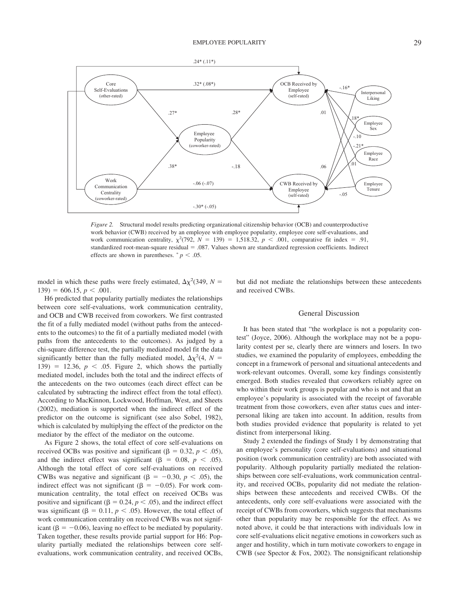

*Figure 2.* Structural model results predicting organizational citizenship behavior (OCB) and counterproductive work behavior (CWB) received by an employee with employee popularity, employee core self-evaluations, and work communication centrality,  $\chi^2(792, N = 139) = 1,518.32, p < .001$ , comparative fit index = .91, standardized root-mean-square residual = .087. Values shown are standardized regression coefficients. Indirect effects are shown in parentheses.  $p < .05$ .

model in which these paths were freely estimated,  $\Delta \chi^2$  (349, *N* =  $139$ ) = 606.15, *p* < .001.

H6 predicted that popularity partially mediates the relationships between core self-evaluations, work communication centrality, and OCB and CWB received from coworkers. We first contrasted the fit of a fully mediated model (without paths from the antecedents to the outcomes) to the fit of a partially mediated model (with paths from the antecedents to the outcomes). As judged by a chi-square difference test, the partially mediated model fit the data significantly better than the fully mediated model,  $\Delta \chi^2$  (4, *N* = 139)  $= 12.36$ ,  $p < .05$ . Figure 2, which shows the partially mediated model, includes both the total and the indirect effects of the antecedents on the two outcomes (each direct effect can be calculated by subtracting the indirect effect from the total effect). According to MacKinnon, Lockwood, Hoffman, West, and Sheets (2002), mediation is supported when the indirect effect of the predictor on the outcome is significant (see also Sobel, 1982), which is calculated by multiplying the effect of the predictor on the mediator by the effect of the mediator on the outcome.

As Figure 2 shows, the total effect of core self-evaluations on received OCBs was positive and significant ( $\beta = 0.32$ ,  $p < .05$ ), and the indirect effect was significant ( $\beta = 0.08$ ,  $p < .05$ ). Although the total effect of core self-evaluations on received CWBs was negative and significant ( $\beta = -0.30, p < .05$ ), the indirect effect was not significant ( $\beta = -0.05$ ). For work communication centrality, the total effect on received OCBs was positive and significant ( $\beta = 0.24$ ,  $p < .05$ ), and the indirect effect was significant ( $\beta = 0.11$ ,  $p < .05$ ). However, the total effect of work communication centrality on received CWBs was not significant ( $\beta = -0.06$ ), leaving no effect to be mediated by popularity. Taken together, these results provide partial support for H6: Popularity partially mediated the relationships between core selfevaluations, work communication centrality, and received OCBs,

but did not mediate the relationships between these antecedents and received CWBs.

#### General Discussion

It has been stated that "the workplace is not a popularity contest" (Joyce, 2006). Although the workplace may not be a popularity contest per se, clearly there are winners and losers. In two studies, we examined the popularity of employees, embedding the concept in a framework of personal and situational antecedents and work-relevant outcomes. Overall, some key findings consistently emerged. Both studies revealed that coworkers reliably agree on who within their work groups is popular and who is not and that an employee's popularity is associated with the receipt of favorable treatment from those coworkers, even after status cues and interpersonal liking are taken into account. In addition, results from both studies provided evidence that popularity is related to yet distinct from interpersonal liking.

Study 2 extended the findings of Study 1 by demonstrating that an employee's personality (core self-evaluations) and situational position (work communication centrality) are both associated with popularity. Although popularity partially mediated the relationships between core self-evaluations, work communication centrality, and received OCBs, popularity did not mediate the relationships between these antecedents and received CWBs. Of the antecedents, only core self-evaluations were associated with the receipt of CWBs from coworkers, which suggests that mechanisms other than popularity may be responsible for the effect. As we noted above, it could be that interactions with individuals low in core self-evaluations elicit negative emotions in coworkers such as anger and hostility, which in turn motivate coworkers to engage in CWB (see Spector & Fox, 2002). The nonsignificant relationship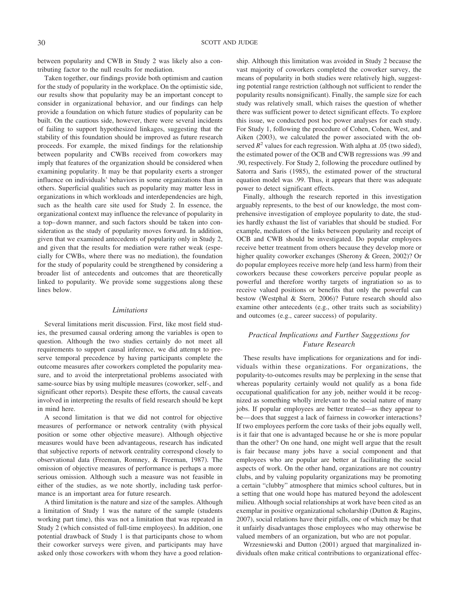between popularity and CWB in Study 2 was likely also a contributing factor to the null results for mediation.

Taken together, our findings provide both optimism and caution for the study of popularity in the workplace. On the optimistic side, our results show that popularity may be an important concept to consider in organizational behavior, and our findings can help provide a foundation on which future studies of popularity can be built. On the cautious side, however, there were several incidents of failing to support hypothesized linkages, suggesting that the stability of this foundation should be improved as future research proceeds. For example, the mixed findings for the relationship between popularity and CWBs received from coworkers may imply that features of the organization should be considered when examining popularity. It may be that popularity exerts a stronger influence on individuals' behaviors in some organizations than in others. Superficial qualities such as popularity may matter less in organizations in which workloads and interdependencies are high, such as the health care site used for Study 2. In essence, the organizational context may influence the relevance of popularity in a top– down manner, and such factors should be taken into consideration as the study of popularity moves forward. In addition, given that we examined antecedents of popularity only in Study 2, and given that the results for mediation were rather weak (especially for CWBs, where there was no mediation), the foundation for the study of popularity could be strengthened by considering a broader list of antecedents and outcomes that are theoretically linked to popularity. We provide some suggestions along these lines below.

## *Limitations*

Several limitations merit discussion. First, like most field studies, the presumed causal ordering among the variables is open to question. Although the two studies certainly do not meet all requirements to support causal inference, we did attempt to preserve temporal precedence by having participants complete the outcome measures after coworkers completed the popularity measure, and to avoid the interpretational problems associated with same-source bias by using multiple measures (coworker, self-, and significant other reports). Despite these efforts, the causal caveats involved in interpreting the results of field research should be kept in mind here.

A second limitation is that we did not control for objective measures of performance or network centrality (with physical position or some other objective measure). Although objective measures would have been advantageous, research has indicated that subjective reports of network centrality correspond closely to observational data (Freeman, Romney, & Freeman, 1987). The omission of objective measures of performance is perhaps a more serious omission. Although such a measure was not feasible in either of the studies, as we note shortly, including task performance is an important area for future research.

A third limitation is the nature and size of the samples. Although a limitation of Study 1 was the nature of the sample (students working part time), this was not a limitation that was repeated in Study 2 (which consisted of full-time employees). In addition, one potential drawback of Study 1 is that participants chose to whom their coworker surveys were given, and participants may have asked only those coworkers with whom they have a good relationship. Although this limitation was avoided in Study 2 because the vast majority of coworkers completed the coworker survey, the means of popularity in both studies were relatively high, suggesting potential range restriction (although not sufficient to render the popularity results nonsignificant). Finally, the sample size for each study was relatively small, which raises the question of whether there was sufficient power to detect significant effects. To explore this issue, we conducted post hoc power analyses for each study. For Study 1, following the procedure of Cohen, Cohen, West, and Aiken (2003), we calculated the power associated with the observed  $R^2$  values for each regression. With alpha at .05 (two sided), the estimated power of the OCB and CWB regressions was .99 and .90, respectively. For Study 2, following the procedure outlined by Satorra and Saris (1985), the estimated power of the structural equation model was .99. Thus, it appears that there was adequate power to detect significant effects.

Finally, although the research reported in this investigation arguably represents, to the best of our knowledge, the most comprehensive investigation of employee popularity to date, the studies hardly exhaust the list of variables that should be studied. For example, mediators of the links between popularity and receipt of OCB and CWB should be investigated. Do popular employees receive better treatment from others because they develop more or higher quality coworker exchanges (Sherony & Green, 2002)? Or do popular employees receive more help (and less harm) from their coworkers because these coworkers perceive popular people as powerful and therefore worthy targets of ingratiation so as to receive valued positions or benefits that only the powerful can bestow (Westphal & Stern, 2006)? Future research should also examine other antecedents (e.g., other traits such as sociability) and outcomes (e.g., career success) of popularity.

# *Practical Implications and Further Suggestions for Future Research*

These results have implications for organizations and for individuals within these organizations. For organizations, the popularity-to-outcomes results may be perplexing in the sense that whereas popularity certainly would not qualify as a bona fide occupational qualification for any job, neither would it be recognized as something wholly irrelevant to the social nature of many jobs. If popular employees are better treated—as they appear to be— does that suggest a lack of fairness in coworker interactions? If two employees perform the core tasks of their jobs equally well, is it fair that one is advantaged because he or she is more popular than the other? On one hand, one might well argue that the result is fair because many jobs have a social component and that employees who are popular are better at facilitating the social aspects of work. On the other hand, organizations are not country clubs, and by valuing popularity organizations may be promoting a certain "clubby" atmosphere that mimics school cultures, but in a setting that one would hope has matured beyond the adolescent milieu. Although social relationships at work have been cited as an exemplar in positive organizational scholarship (Dutton & Ragins, 2007), social relations have their pitfalls, one of which may be that it unfairly disadvantages those employees who may otherwise be valued members of an organization, but who are not popular.

Wrzesniewski and Dutton (2001) argued that marginalized individuals often make critical contributions to organizational effec-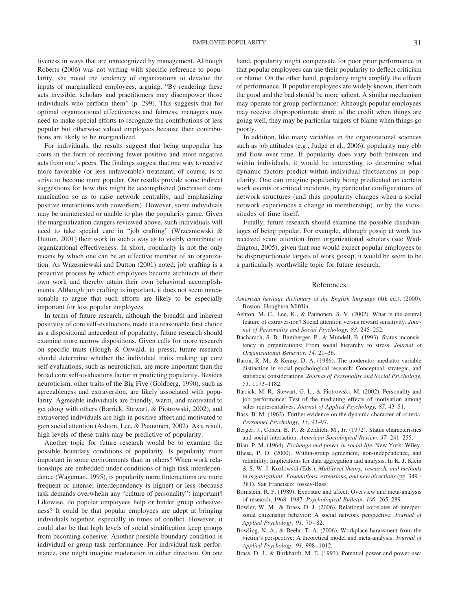tiveness in ways that are unrecognized by management. Although Roberts (2006) was not writing with specific reference to popularity, she noted the tendency of organizations to devalue the inputs of marginalized employees, arguing, "By rendering these acts invisible, scholars and practitioners may disempower those individuals who perform them" (p. 299). This suggests that for optimal organizational effectiveness and fairness, managers may need to make special efforts to recognize the contributions of less popular but otherwise valued employees because their contributions are likely to be marginalized.

For individuals, the results suggest that being unpopular has costs in the form of receiving fewer positive and more negative acts from one's peers. The findings suggest that one way to receive more favorable (or less unfavorable) treatment, of course, is to strive to become more popular. Our results provide some indirect suggestions for how this might be accomplished (increased communication so as to raise network centrality, and emphasizing positive interactions with coworkers). However, some individuals may be uninterested or unable to play the popularity game. Given the marginalization dangers reviewed above, such individuals will need to take special care in "job crafting" (Wrzesniewski & Dutton, 2001) their work in such a way as to visibly contribute to organizational effectiveness. In short, popularity is not the only means by which one can be an effective member of an organization. As Wrzesniewski and Dutton (2001) noted, job crafting is a proactive process by which employees become architects of their own work and thereby attain their own behavioral accomplishments. Although job crafting is important, it does not seem unreasonable to argue that such efforts are likely to be especially important for less popular employees.

In terms of future research, although the breadth and inherent positivity of core self-evaluations made it a reasonable first choice as a dispositional antecedent of popularity, future research should examine more narrow dispositions. Given calls for more research on specific traits (Hough & Oswald, in press), future research should determine whether the individual traits making up core self-evaluations, such as neuroticism, are more important than the broad core self-evaluations factor in predicting popularity. Besides neuroticism, other traits of the Big Five (Goldberg, 1990), such as agreeableness and extraversion, are likely associated with popularity. Agreeable individuals are friendly, warm, and motivated to get along with others (Barrick, Stewart, & Piotrowski, 2002), and extraverted individuals are high in positive affect and motivated to gain social attention (Ashton, Lee, & Paunonen, 2002). As a result, high levels of these traits may be predictive of popularity.

Another topic for future research would be to examine the possible boundary conditions of popularity. Is popularity more important in some environments than in others? When work relationships are embedded under conditions of high task interdependence (Wageman, 1995), is popularity more (interactions are more frequent or intense; interdependency is higher) or less (because task demands overwhelm any "culture of personality") important? Likewise, do popular employees help or hinder group cohesiveness? It could be that popular employees are adept at bringing individuals together, especially in times of conflict. However, it could also be that high levels of social stratification keep groups from becoming cohesive. Another possible boundary condition is individual or group task performance. For individual task performance, one might imagine moderation in either direction. On one hand, popularity might compensate for poor prior performance in that popular employees can use their popularity to deflect criticism or blame. On the other hand, popularity might amplify the effects of performance. If popular employees are widely known, then both the good and the bad should be more salient. A similar mechanism may operate for group performance: Although popular employees may receive disproportionate share of the credit when things are going well, they may be particular targets of blame when things go poorly.

In addition, like many variables in the organizational sciences such as job attitudes (e.g., Judge et al., 2006), popularity may ebb and flow over time. If popularity does vary both between and within individuals, it would be interesting to determine what dynamic factors predict within-individual fluctuations in popularity. One can imagine popularity being predicated on certain work events or critical incidents, by particular configurations of network structures (and thus popularity changes when a social network experiences a change in membership), or by the vicissitudes of time itself.

Finally, future research should examine the possible disadvantages of being popular. For example, although gossip at work has received scant attention from organizational scholars (see Waddington, 2005), given that one would expect popular employees to be disproportionate targets of work gossip, it would be seem to be a particularly worthwhile topic for future research.

## References

- *American heritage dictionary of the English language* (4th ed.). (2000). Boston: Houghton Mifflin.
- Ashton, M. C., Lee, K., & Paunonen, S. V. (2002). What is the central feature of extraversion? Social attention versus reward sensitivity. *Journal of Personality and Social Psychology, 83,* 245–252.
- Bacharach, S. B., Bamberger, P., & Mundell, B. (1993). Status inconsistency in organizations: From social hierarchy to stress. *Journal of Organizational Behavior, 14,* 21–36.
- Baron, R. M., & Kenny, D. A. (1986). The moderator–mediator variable distinction in social psychological research: Conceptual, strategic, and statistical considerations. *Journal of Personality and Social Psychology, 51,* 1173–1182.
- Barrick, M. R., Stewart, G. L., & Piotrowski, M. (2002). Personality and job performance: Test of the mediating effects of motivation among sales representatives. *Journal of Applied Psychology, 87,* 43–51.
- Bass, B. M. (1962). Further evidence on the dynamic character of criteria. *Personnel Psychology, 15,* 93–97.
- Berger, J., Cohen, B. P., & Zelditch, M., Jr. (1972). Status characteristics and social interaction. *American Sociological Review, 37,* 241–255.
- Blau, P. M. (1964). *Exchange and power in social life.* New York: Wiley.
- Bliese, P. D. (2000). Within-group agreement, non-independence, and reliability: Implications for data aggregation and analysis. In K. J. Klein & S. W. J. Kozlowski (Eds.), *Multilevel theory, research, and methods in organizations: Foundations, extensions, and new directions* (pp. 349 – 381). San Francisco: Jossey-Bass.
- Bornstein, R. F. (1989). Exposure and affect: Overview and meta-analysis of research, 1968 –1987. *Psychological Bulletin, 106,* 265–289.
- Bowler, W. M., & Brass, D. J. (2006). Relational correlates of interpersonal citizenship behavior: A social network perspective. *Journal of Applied Psychology, 91,* 70 – 82.
- Bowling, N. A., & Beehr, T. A. (2006). Workplace harassment from the victim's perspective: A theoretical model and meta-analysis. *Journal of Applied Psychology, 91,* 998 –1012.
- Brass, D. J., & Burkhardt, M. E. (1993). Potential power and power use: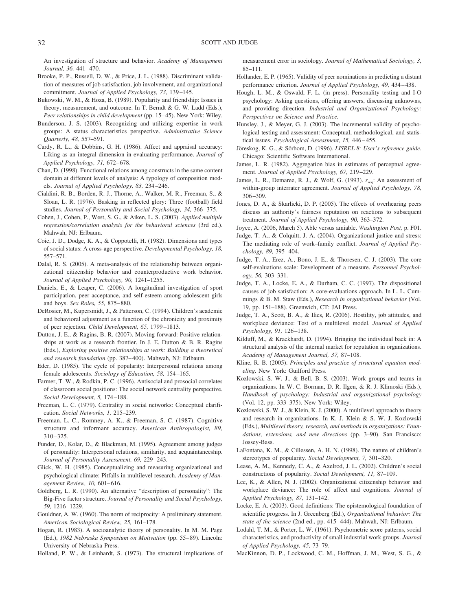An investigation of structure and behavior. *Academy of Management Journal, 36,* 441– 470.

- Brooke, P. P., Russell, D. W., & Price, J. L. (1988). Discriminant validation of measures of job satisfaction, job involvement, and organizational commitment. *Journal of Applied Psychology, 73,* 139 –145.
- Bukowski, W. M., & Hoza, B. (1989). Popularity and friendship: Issues in theory, measurement, and outcome. In T. Berndt & G. W. Ladd (Eds.), Peer relationships in child development (pp. 15–45). New York: Wiley.
- Bunderson, J. S. (2003). Recognizing and utilizing expertise in work groups: A status characteristics perspective. *Administrative Science Quarterly, 48,* 557–591.
- Cardy, R. L., & Dobbins, G. H. (1986). Affect and appraisal accuracy: Liking as an integral dimension in evaluating performance. *Journal of Applied Psychology, 71,* 672– 678.
- Chan, D. (1998). Functional relations among constructs in the same content domain at different levels of analysis: A typology of composition models. *Journal of Applied Psychology, 83,* 234 –246.
- Cialdini, R. B., Borden, R. J., Thorne, A., Walker, M. R., Freeman, S., & Sloan, L. R. (1976). Basking in reflected glory: Three (football) field studies. *Journal of Personality and Social Psychology, 34,* 366 –375.
- Cohen, J., Cohen, P., West, S. G., & Aiken, L. S. (2003). *Applied multiple regression/correlation analysis for the behavioral sciences* (3rd ed.). Mahwah, NJ: Erlbaum.
- Coie, J. D., Dodge, K. A., & Coppotelli, H. (1982). Dimensions and types of social status: A cross-age perspective. *Developmental Psychology, 18,* 557–571.
- Dalal, R. S. (2005). A meta-analysis of the relationship between organizational citizenship behavior and counterproductive work behavior. *Journal of Applied Psychology, 90,* 1241–1255.
- Daniels, E., & Leaper, C. (2006). A longitudinal investigation of sport participation, peer acceptance, and self-esteem among adolescent girls and boys. *Sex Roles, 55,* 875– 880.
- DeRosier, M., Kupersmidt, J., & Patterson, C. (1994). Children's academic and behavioral adjustment as a function of the chronicity and proximity of peer rejection. *Child Development, 65,* 1799 –1813.
- Dutton, J. E., & Ragins, B. R. (2007). Moving forward: Positive relationships at work as a research frontier. In J. E. Dutton & B. R. Ragins (Eds.), *Exploring positive relationships at work: Building a theoretical and research foundation* (pp. 387– 400). Mahwah, NJ: Erlbaum.
- Eder, D. (1985). The cycle of popularity: Interpersonal relations among female adolescents. *Sociology of Education, 58,* 154 –165.
- Farmer, T. W., & Rodkin, P. C. (1996). Antisocial and prosocial correlates of classroom social positions: The social network centrality perspective. *Social Development, 5,* 174 –188.
- Freeman, L. C. (1979). Centrality in social networks: Conceptual clarification. *Social Networks, 1,* 215–239.
- Freeman, L. C., Romney, A. K., & Freeman, S. C. (1987). Cognitive structure and informant accuracy. *American Anthropologist, 89,*  $310 - 325$ .
- Funder, D., Kolar, D., & Blackman, M. (1995). Agreement among judges of personality: Interpersonal relations, similarity, and acquaintanceship. *Journal of Personality Assessment, 69,* 229 –243.
- Glick, W. H. (1985). Conceptualizing and measuring organizational and psychological climate: Pitfalls in multilevel research. *Academy of Management Review, 10,* 601– 616.
- Goldberg, L. R. (1990). An alternative "description of personality": The Big-Five factor structure. *Journal of Personality and Social Psychology, 59,* 1216 –1229.
- Gouldner, A. W. (1960). The norm of reciprocity: A preliminary statement. *American Sociological Review, 25,* 161–178.
- Hogan, R. (1983). A socioanalytic theory of personality. In M. M. Page (Ed.), *1982 Nebraska Symposium on Motivation* (pp. 55– 89). Lincoln: University of Nebraska Press.
- Holland, P. W., & Leinhardt, S. (1973). The structural implications of

measurement error in sociology. *Journal of Mathematical Sociology, 3,* 85–111.

- Hollander, E. P. (1965). Validity of peer nominations in predicting a distant performance criterion. *Journal of Applied Psychology, 49,* 434 – 438.
- Hough, L. M., & Oswald, F. L. (in press). Personality testing and I-O psychology: Asking questions, offering answers, discussing unknowns, and providing direction. *Industrial and Organizational Psychology: Perspectives on Science and Practice.*
- Hunsley, J., & Meyer, G. J. (2003). The incremental validity of psychological testing and assessment: Conceptual, methodological, and statistical issues. *Psychological Assessment, 15,* 446 – 455.
- Jöreskog, K. G., & Sörbom, D. (1996). *LISREL 8: User's reference guide*. Chicago: Scientific Software International.
- James, L. R. (1982). Aggregation bias in estimates of perceptual agreement. *Journal of Applied Psychology, 67,* 219 –229.
- James, L. R., Demaree, R. J., & Wolf, G. (1993).  $r_{wp}$ : An assessment of within-group interrater agreement. *Journal of Applied Psychology, 78,* 306 –309.
- Jones, D. A., & Skarlicki, D. P. (2005). The effects of overhearing peers discuss an authority's fairness reputation on reactions to subsequent treatment. *Journal of Applied Psychology, 90,* 363–372.
- Joyce, A. (2006, March 5). Able versus amiable. *Washington Post,* p. F01.
- Judge, T. A., & Colquitt, J. A. (2004). Organizational justice and stress: The mediating role of work–family conflict. *Journal of Applied Psychology, 89,* 395– 404.
- Judge, T. A., Erez, A., Bono, J. E., & Thoresen, C. J. (2003). The core self-evaluations scale: Development of a measure. *Personnel Psychology, 56,* 303–331.
- Judge, T. A., Locke, E. A., & Durham, C. C. (1997). The dispositional causes of job satisfaction: A core-evaluations approach. In L. L. Cummings & B. M. Staw (Eds.), *Research in organizational behavior* (Vol. 19, pp. 151–188). Greenwich, CT: JAI Press.
- Judge, T. A., Scott, B. A., & Ilies, R. (2006). Hostility, job attitudes, and workplace deviance: Test of a multilevel model. *Journal of Applied Psychology, 91,* 126 –138.
- Kilduff, M., & Krackhardt, D. (1994). Bringing the individual back in: A structural analysis of the internal market for reputation in organizations. *Academy of Management Journal, 37,* 87–108.
- Kline, R. B. (2005). *Principles and practice of structural equation modeling.* New York: Guilford Press.
- Kozlowski, S. W. J., & Bell, B. S. (2003). Work groups and teams in organizations. In W. C. Borman, D. R. Ilgen, & R. J. Klimoski (Eds.), *Handbook of psychology: Industrial and organizational psychology* (Vol. 12, pp. 333–375). New York: Wiley.
- Kozlowski, S. W. J., & Klein, K. J. (2000). A multilevel approach to theory and research in organizations. In K. J. Klein & S. W. J. Kozlowski (Eds.), *Multilevel theory, research, and methods in organizations: Foundations, extensions, and new directions* (pp. 3–90). San Francisco: Jossey-Bass.
- LaFontana, K. M., & Cillessen, A. H. N. (1998). The nature of children's stereotypes of popularity. *Social Development, 7,* 301–320.
- Lease, A. M., Kennedy, C. A., & Axelrod, J. L. (2002). Children's social constructions of popularity. *Social Development, 11,* 87–109.
- Lee, K., & Allen, N. J. (2002). Organizational citizenship behavior and workplace deviance: The role of affect and cognitions. *Journal of Applied Psychology, 87,* 131–142.
- Locke, E. A. (2003). Good definitions: The epistemological foundation of scientific progress. In J. Greenberg (Ed.), *Organizational behavior: The state of the science* (2nd ed., pp. 415– 444). Mahwah, NJ: Erlbaum.
- Lodahl, T. M., & Porter, L. W. (1961). Psychometric score patterns, social characteristics, and productivity of small industrial work groups. *Journal of Applied Psychology, 45,* 73–79.
- MacKinnon, D. P., Lockwood, C. M., Hoffman, J. M., West, S. G., &